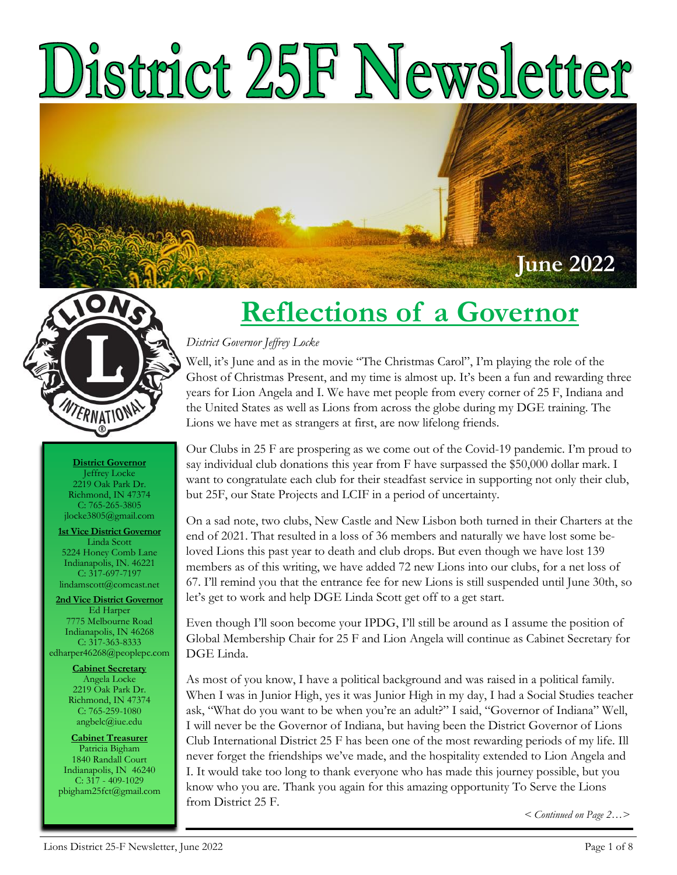# District 25F Newsletter



**District Governor** Jeffrey Locke 2219 Oak Park Dr. Richmond, IN 47374 C: 765-265-3805 jlocke3805@gmail.com

**1st Vice District Governor** Linda Scott 5224 Honey Comb Lane Indianapolis, IN. 46221 C: 317-697-7197 lindamscott@comcast.net

**2nd Vice District Governor** Ed Harper 7775 Melbourne Road Indianapolis, IN 46268 C: 317-363-8333 edharper46268@peoplepc.com

> **Cabinet Secretary** Angela Locke 2219 Oak Park Dr. Richmond, IN 47374 C: 765-259-1080 angbelc@iue.edu

**Cabinet Treasurer** Patricia Bigham 1840 Randall Court Indianapolis, IN 46240 C: 317 - 409-1029 pbigham25fct@gmail.com

## **Reflections of a Governor**

#### *District Governor Jeffrey Locke*

Well, it's June and as in the movie "The Christmas Carol", I'm playing the role of the Ghost of Christmas Present, and my time is almost up. It's been a fun and rewarding three years for Lion Angela and I. We have met people from every corner of 25 F, Indiana and the United States as well as Lions from across the globe during my DGE training. The Lions we have met as strangers at first, are now lifelong friends.

Our Clubs in 25 F are prospering as we come out of the Covid-19 pandemic. I'm proud to say individual club donations this year from F have surpassed the \$50,000 dollar mark. I want to congratulate each club for their steadfast service in supporting not only their club, but 25F, our State Projects and LCIF in a period of uncertainty.

On a sad note, two clubs, New Castle and New Lisbon both turned in their Charters at the end of 2021. That resulted in a loss of 36 members and naturally we have lost some beloved Lions this past year to death and club drops. But even though we have lost 139 members as of this writing, we have added 72 new Lions into our clubs, for a net loss of 67. I'll remind you that the entrance fee for new Lions is still suspended until June 30th, so let's get to work and help DGE Linda Scott get off to a get start.

Even though I'll soon become your IPDG, I'll still be around as I assume the position of Global Membership Chair for 25 F and Lion Angela will continue as Cabinet Secretary for DGE Linda.

As most of you know, I have a political background and was raised in a political family. When I was in Junior High, yes it was Junior High in my day, I had a Social Studies teacher ask, "What do you want to be when you're an adult?" I said, "Governor of Indiana" Well, I will never be the Governor of Indiana, but having been the District Governor of Lions Club International District 25 F has been one of the most rewarding periods of my life. Ill never forget the friendships we've made, and the hospitality extended to Lion Angela and I. It would take too long to thank everyone who has made this journey possible, but you know who you are. Thank you again for this amazing opportunity To Serve the Lions from District 25 F.

*< Continued on Page 2…>* 

**June 2022**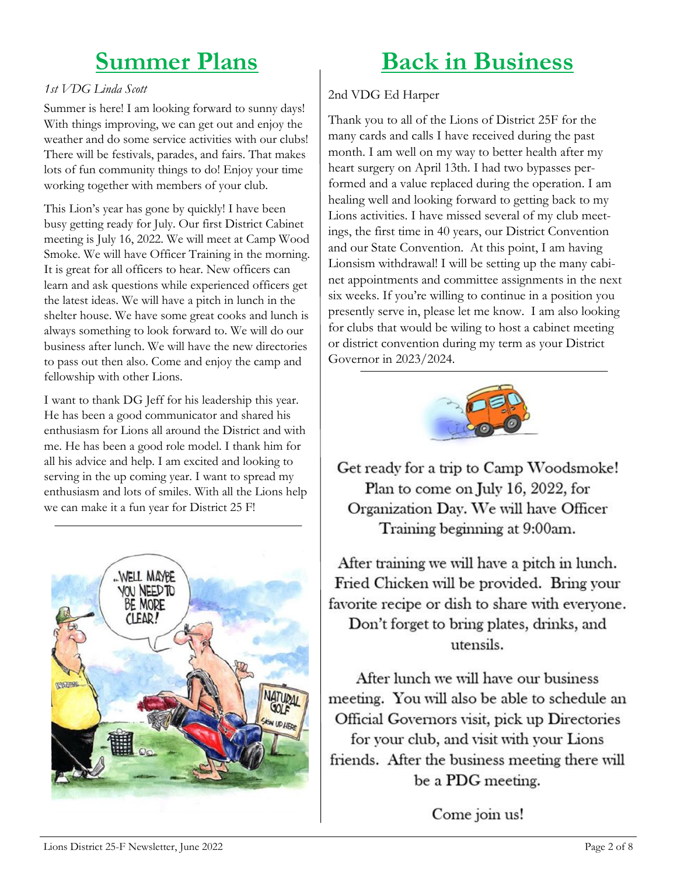#### **Summer Plans**

#### **Back in Business**

#### *1st VDG Linda Scott*

Summer is here! I am looking forward to sunny days! With things improving, we can get out and enjoy the weather and do some service activities with our clubs! There will be festivals, parades, and fairs. That makes lots of fun community things to do! Enjoy your time working together with members of your club.

This Lion's year has gone by quickly! I have been busy getting ready for July. Our first District Cabinet meeting is July 16, 2022. We will meet at Camp Wood Smoke. We will have Officer Training in the morning. It is great for all officers to hear. New officers can learn and ask questions while experienced officers get the latest ideas. We will have a pitch in lunch in the shelter house. We have some great cooks and lunch is always something to look forward to. We will do our business after lunch. We will have the new directories to pass out then also. Come and enjoy the camp and fellowship with other Lions.

I want to thank DG Jeff for his leadership this year. He has been a good communicator and shared his enthusiasm for Lions all around the District and with me. He has been a good role model. I thank him for all his advice and help. I am excited and looking to serving in the up coming year. I want to spread my enthusiasm and lots of smiles. With all the Lions help we can make it a fun year for District 25 F!



#### 2nd VDG Ed Harper

Thank you to all of the Lions of District 25F for the many cards and calls I have received during the past month. I am well on my way to better health after my heart surgery on April 13th. I had two bypasses performed and a value replaced during the operation. I am healing well and looking forward to getting back to my Lions activities. I have missed several of my club meetings, the first time in 40 years, our District Convention and our State Convention. At this point, I am having Lionsism withdrawal! I will be setting up the many cabinet appointments and committee assignments in the next six weeks. If you're willing to continue in a position you presently serve in, please let me know. I am also looking for clubs that would be wiling to host a cabinet meeting or district convention during my term as your District Governor in 2023/2024.



Get ready for a trip to Camp Woodsmoke! Plan to come on July 16, 2022, for Organization Day. We will have Officer Training beginning at 9:00am.

After training we will have a pitch in lunch. Fried Chicken will be provided. Bring your favorite recipe or dish to share with everyone. Don't forget to bring plates, drinks, and utensils.

After lunch we will have our business meeting. You will also be able to schedule an Official Governors visit, pick up Directories for your club, and visit with your Lions friends. After the business meeting there will be a PDG meeting.

Come join us!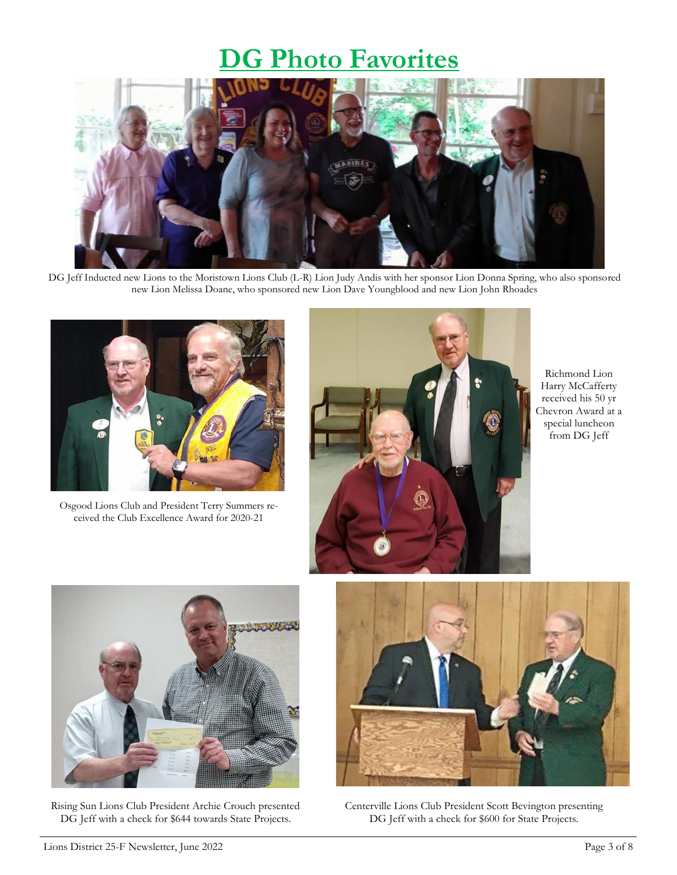#### **DG Photo Favorites**



DG Jeff Inducted new Lions to the Moristown Lions Club (L-R) Lion Judy Andis with her sponsor Lion Donna Spring, who also sponsored new Lion Melissa Doane, who sponsored new Lion Dave Youngblood and new Lion John Rhoades



Osgood Lions Club and President Terry Summers received the Club Excellence Award for 2020-21



Richmond Lion Harry McCafferty received his 50 yr Chevron Award at a special luncheon from DG Jeff



Rising Sun Lions Club President Archie Crouch presented DG Jeff with a check for \$644 towards State Projects.



Centerville Lions Club President Scott Bevington presenting DG Jeff with a check for \$600 for State Projects.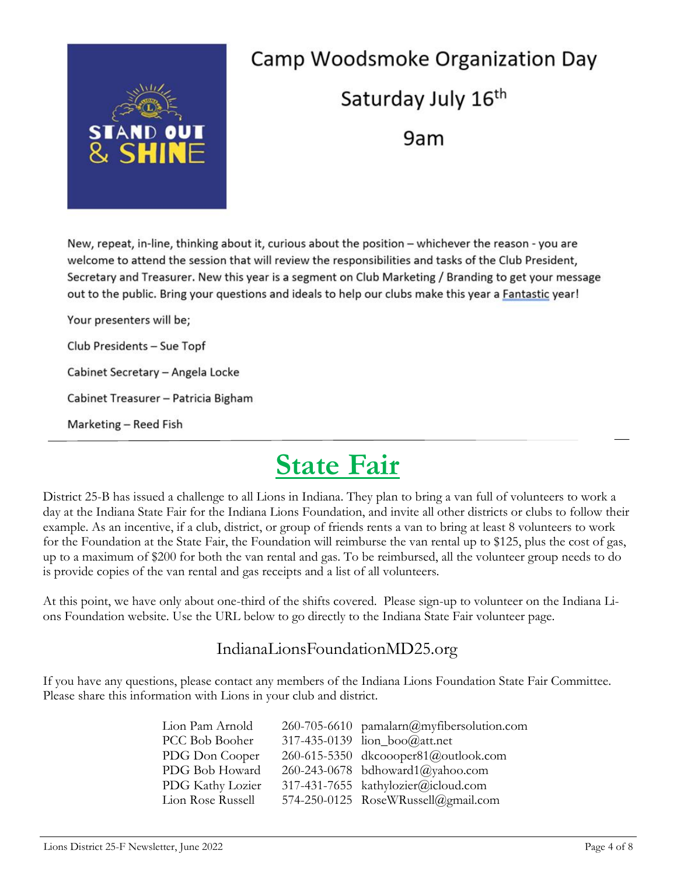

## Camp Woodsmoke Organization Day Saturday July 16<sup>th</sup> 9am

New, repeat, in-line, thinking about it, curious about the position - whichever the reason - you are welcome to attend the session that will review the responsibilities and tasks of the Club President, Secretary and Treasurer. New this year is a segment on Club Marketing / Branding to get your message out to the public. Bring your questions and ideals to help our clubs make this year a Fantastic year!

Your presenters will be; Club Presidents - Sue Topf Cabinet Secretary - Angela Locke Cabinet Treasurer - Patricia Bigham Marketing - Reed Fish

## **State Fair**

District 25-B has issued a challenge to all Lions in Indiana. They plan to bring a van full of volunteers to work a day at the Indiana State Fair for the Indiana Lions Foundation, and invite all other districts or clubs to follow their example. As an incentive, if a club, district, or group of friends rents a van to bring at least 8 volunteers to work for the Foundation at the State Fair, the Foundation will reimburse the van rental up to \$125, plus the cost of gas, up to a maximum of \$200 for both the van rental and gas. To be reimbursed, all the volunteer group needs to do is provide copies of the van rental and gas receipts and a list of all volunteers.

At this point, we have only about one-third of the shifts covered. Please sign-up to volunteer on the Indiana Lions Foundation website. Use the URL below to go directly to the Indiana State Fair volunteer page.

#### IndianaLionsFoundationMD25.org

If you have any questions, please contact any members of the Indiana Lions Foundation State Fair Committee. Please share this information with Lions in your club and district.

| 260-705-6610 pamalarn@myfibersolution.com |
|-------------------------------------------|
| 317-435-0139 lion_boo@att.net             |
| 260-615-5350 dkcoooper81@outlook.com      |
| 260-243-0678 bdhoward1@yahoo.com          |
| 317-431-7655 kathylozier@icloud.com       |
| 574-250-0125 RoseWRussell@gmail.com       |
|                                           |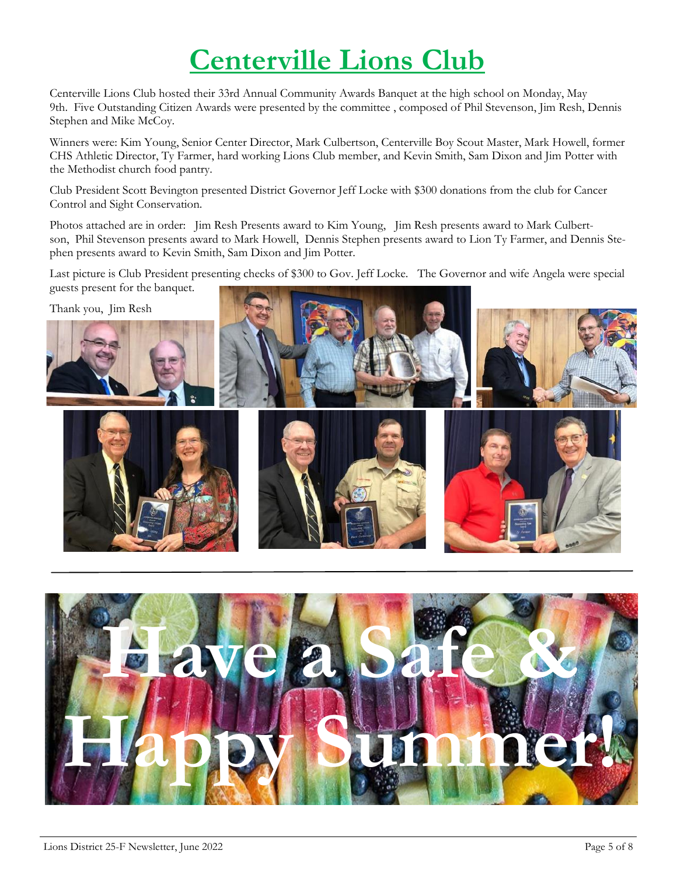## **Centerville Lions Club**

Centerville Lions Club hosted their 33rd Annual Community Awards Banquet at the high school on Monday, May 9th. Five Outstanding Citizen Awards were presented by the committee , composed of Phil Stevenson, Jim Resh, Dennis Stephen and Mike McCoy.

Winners were: Kim Young, Senior Center Director, Mark Culbertson, Centerville Boy Scout Master, Mark Howell, former CHS Athletic Director, Ty Farmer, hard working Lions Club member, and Kevin Smith, Sam Dixon and Jim Potter with the Methodist church food pantry.

Club President Scott Bevington presented District Governor Jeff Locke with \$300 donations from the club for Cancer Control and Sight Conservation.

Photos attached are in order: Jim Resh Presents award to Kim Young, Jim Resh presents award to Mark Culbertson, Phil Stevenson presents award to Mark Howell, Dennis Stephen presents award to Lion Ty Farmer, and Dennis Stephen presents award to Kevin Smith, Sam Dixon and Jim Potter.

Last picture is Club President presenting checks of \$300 to Gov. Jeff Locke. The Governor and wife Angela were special guests present for the banquet.



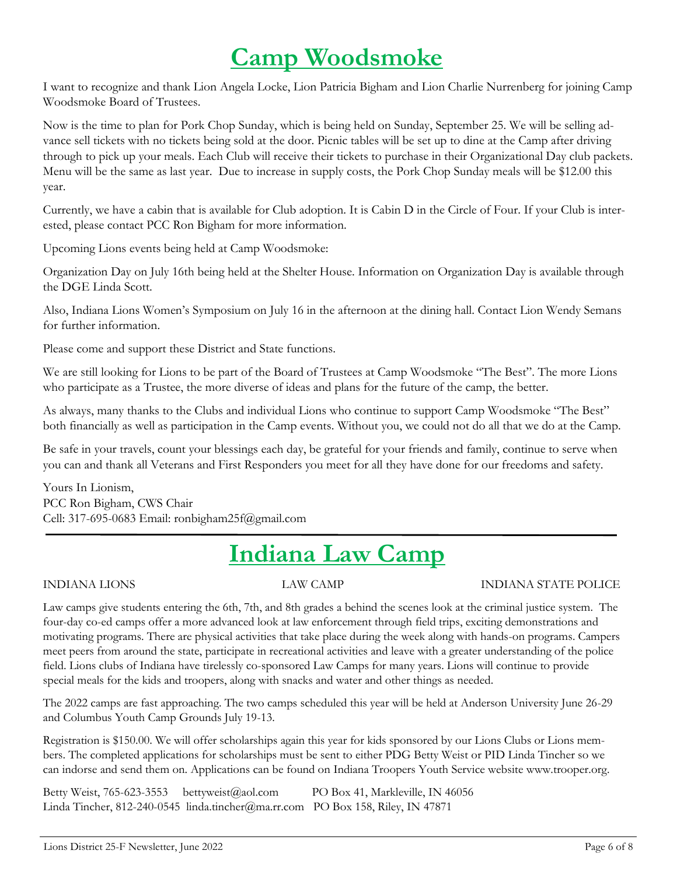#### **Camp Woodsmoke**

I want to recognize and thank Lion Angela Locke, Lion Patricia Bigham and Lion Charlie Nurrenberg for joining Camp Woodsmoke Board of Trustees.

Now is the time to plan for Pork Chop Sunday, which is being held on Sunday, September 25. We will be selling advance sell tickets with no tickets being sold at the door. Picnic tables will be set up to dine at the Camp after driving through to pick up your meals. Each Club will receive their tickets to purchase in their Organizational Day club packets. Menu will be the same as last year. Due to increase in supply costs, the Pork Chop Sunday meals will be \$12.00 this year.

Currently, we have a cabin that is available for Club adoption. It is Cabin D in the Circle of Four. If your Club is interested, please contact PCC Ron Bigham for more information.

Upcoming Lions events being held at Camp Woodsmoke:

Organization Day on July 16th being held at the Shelter House. Information on Organization Day is available through the DGE Linda Scott.

Also, Indiana Lions Women's Symposium on July 16 in the afternoon at the dining hall. Contact Lion Wendy Semans for further information.

Please come and support these District and State functions.

We are still looking for Lions to be part of the Board of Trustees at Camp Woodsmoke "The Best". The more Lions who participate as a Trustee, the more diverse of ideas and plans for the future of the camp, the better.

As always, many thanks to the Clubs and individual Lions who continue to support Camp Woodsmoke "The Best" both financially as well as participation in the Camp events. Without you, we could not do all that we do at the Camp.

Be safe in your travels, count your blessings each day, be grateful for your friends and family, continue to serve when you can and thank all Veterans and First Responders you meet for all they have done for our freedoms and safety.

Yours In Lionism, PCC Ron Bigham, CWS Chair Cell: 317-695-0683 Email: ronbigham25f@gmail.com

### **Indiana Law Camp**

#### INDIANA LIONS LAW CAMP INDIANA STATE POLICE

Law camps give students entering the 6th, 7th, and 8th grades a behind the scenes look at the criminal justice system. The four-day co-ed camps offer a more advanced look at law enforcement through field trips, exciting demonstrations and motivating programs. There are physical activities that take place during the week along with hands-on programs. Campers meet peers from around the state, participate in recreational activities and leave with a greater understanding of the police field. Lions clubs of Indiana have tirelessly co-sponsored Law Camps for many years. Lions will continue to provide special meals for the kids and troopers, along with snacks and water and other things as needed.

The 2022 camps are fast approaching. The two camps scheduled this year will be held at Anderson University June 26-29 and Columbus Youth Camp Grounds July 19-13.

Registration is \$150.00. We will offer scholarships again this year for kids sponsored by our Lions Clubs or Lions members. The completed applications for scholarships must be sent to either PDG Betty Weist or PID Linda Tincher so we can indorse and send them on. Applications can be found on Indiana Troopers Youth Service website www.trooper.org.

Betty Weist, 765-623-3553 bettyweist@aol.com PO Box 41, Markleville, IN 46056 Linda Tincher, 812-240-0545 linda.tincher@ma.rr.com PO Box 158, Riley, IN 47871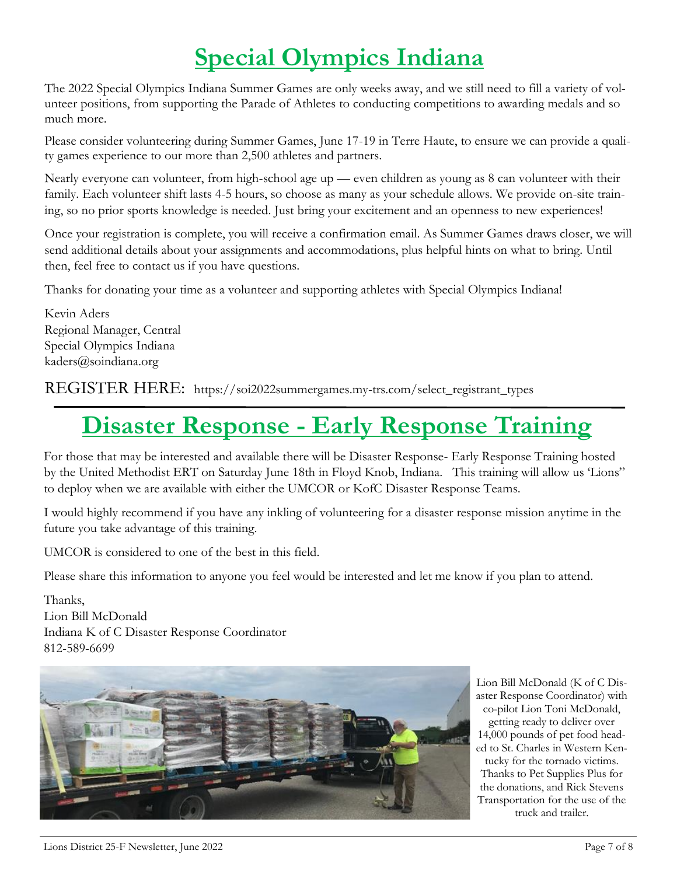## **Special Olympics Indiana**

The 2022 Special Olympics Indiana Summer Games are only weeks away, and we still need to fill a variety of volunteer positions, from supporting the Parade of Athletes to conducting competitions to awarding medals and so much more.

Please consider volunteering during Summer Games, June 17-19 in Terre Haute, to ensure we can provide a quality games experience to our more than 2,500 athletes and partners.

Nearly everyone can volunteer, from high-school age up — even children as young as 8 can volunteer with their family. Each volunteer shift lasts 4-5 hours, so choose as many as your schedule allows. We provide on-site training, so no prior sports knowledge is needed. Just bring your excitement and an openness to new experiences!

Once your registration is complete, you will receive a confirmation email. As Summer Games draws closer, we will send additional details about your assignments and accommodations, plus helpful hints on what to bring. Until then, feel free to contact us if you have questions.

Thanks for donating your time as a volunteer and supporting athletes with Special Olympics Indiana!

Kevin Aders Regional Manager, Central Special Olympics Indiana kaders@soindiana.org

REGISTER HERE: https://soi2022summergames.my-trs.com/select\_registrant\_types

#### **Disaster Response - Early Response Training**

For those that may be interested and available there will be Disaster Response- Early Response Training hosted by the United Methodist ERT on Saturday June 18th in Floyd Knob, Indiana. This training will allow us 'Lions" to deploy when we are available with either the UMCOR or KofC Disaster Response Teams.

I would highly recommend if you have any inkling of volunteering for a disaster response mission anytime in the future you take advantage of this training.

UMCOR is considered to one of the best in this field.

Please share this information to anyone you feel would be interested and let me know if you plan to attend.

Thanks, Lion Bill McDonald Indiana K of C Disaster Response Coordinator 812-589-6699



Lion Bill McDonald (K of C Disaster Response Coordinator) with co-pilot Lion Toni McDonald, getting ready to deliver over 14,000 pounds of pet food headed to St. Charles in Western Kentucky for the tornado victims. Thanks to Pet Supplies Plus for the donations, and Rick Stevens Transportation for the use of the truck and trailer.